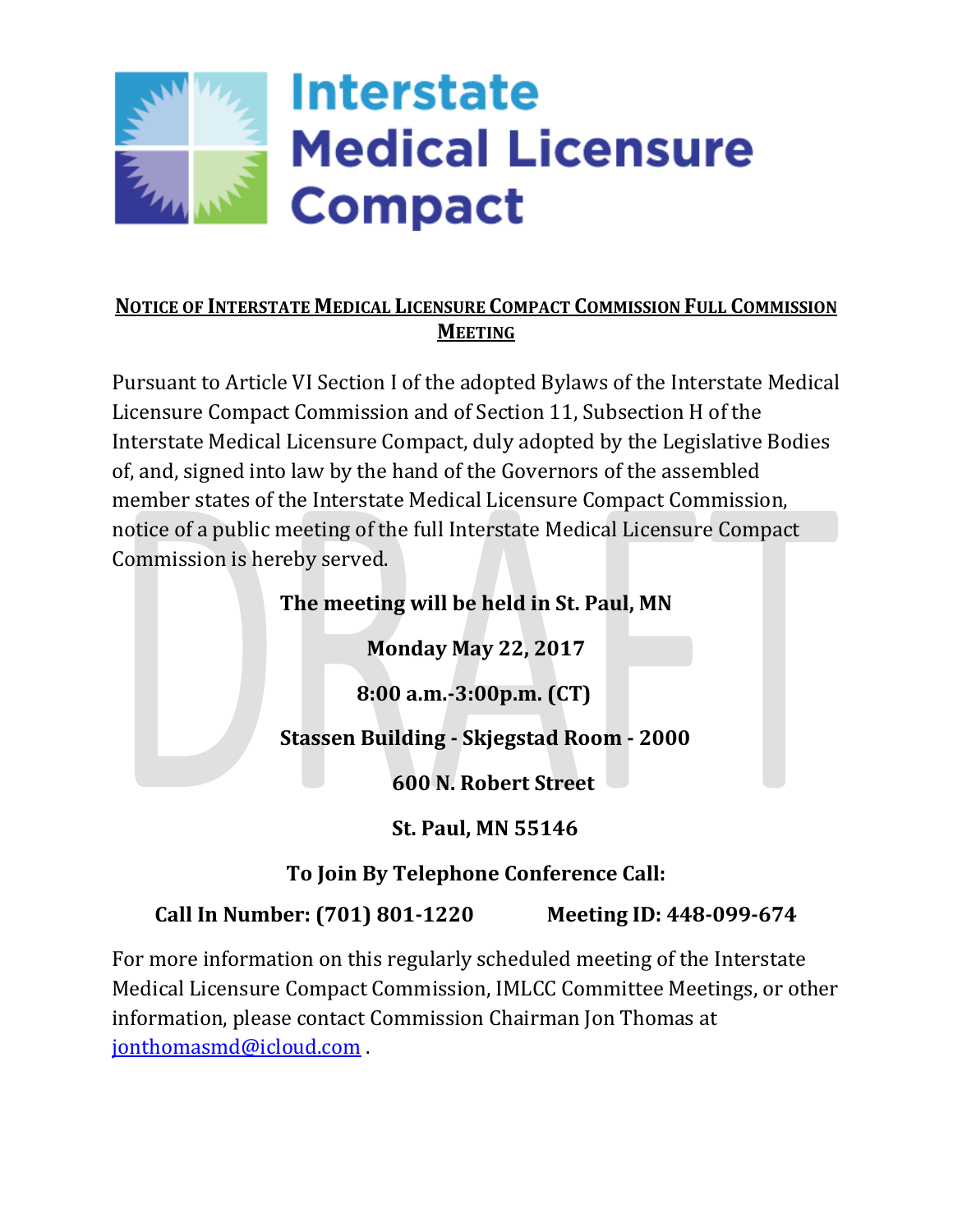

### **NOTICE OF INTERSTATE MEDICAL LICENSURE COMPACT COMMISSION FULL COMMISSION MEETING**

Pursuant to Article VI Section I of the adopted Bylaws of the Interstate Medical Licensure Compact Commission and of Section 11, Subsection H of the Interstate Medical Licensure Compact, duly adopted by the Legislative Bodies of, and, signed into law by the hand of the Governors of the assembled member states of the Interstate Medical Licensure Compact Commission, notice of a public meeting of the full Interstate Medical Licensure Compact Commission is hereby served.

# **The meeting will be held in St. Paul, MN**

**Monday May 22, 2017**

 **8:00 a.m.-3:00p.m. (CT)**

**Stassen Building - Skjegstad Room - 2000**

**600 N. Robert Street**

**St. Paul, MN 55146**

**To Join By Telephone Conference Call:**

### **Call In Number: (701) 801-1220 Meeting ID: 448-099-674**

For more information on this regularly scheduled meeting of the Interstate Medical Licensure Compact Commission, IMLCC Committee Meetings, or other information, please contact Commission Chairman Jon Thomas at [jonthomasmd@icloud.com](mailto:jonthomasmd@icloud.com) .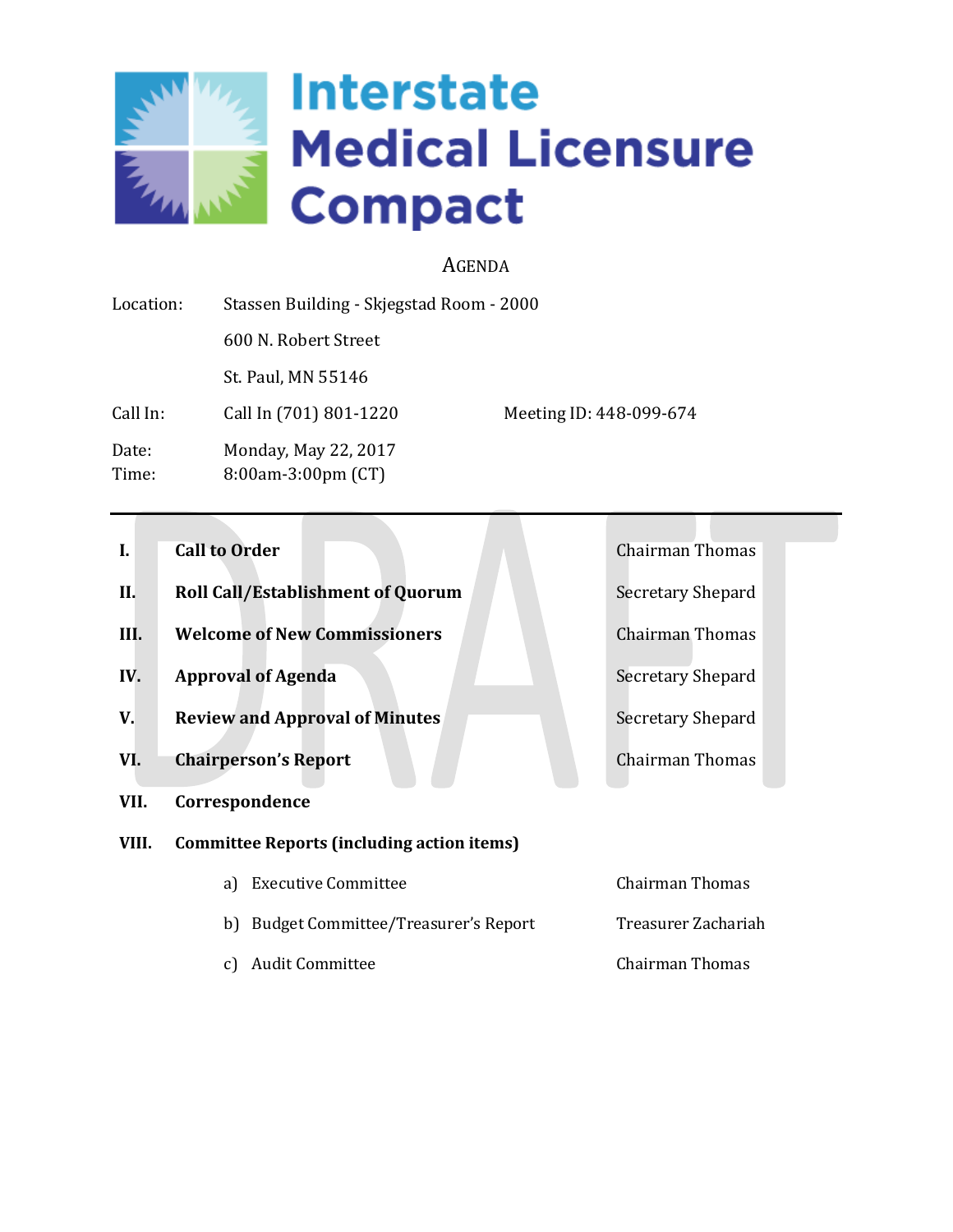

### AGENDA

| Location:      | Stassen Building - Skjegstad Room - 2000        |                         |
|----------------|-------------------------------------------------|-------------------------|
|                | 600 N. Robert Street                            |                         |
|                | St. Paul, MN 55146                              |                         |
| Call In:       | Call In (701) 801-1220                          | Meeting ID: 448-099-674 |
| Date:<br>Time: | Monday, May 22, 2017<br>$8:00$ am-3:00pm $(CT)$ |                         |

- **I. Call to Order** Chairman Thomas
- **II. Roll Call/Establishment of Quorum** Secretary Shepard
- **III. Welcome of New Commissioners** Chairman Thomas
- **IV. Approval of Agenda** Secretary Shepard
- **V. Review and Approval of Minutes** Secretary Shepard
- **VI. Chairperson's Report** Chairman Thomas
- **VII. Correspondence**
- **VIII. Committee Reports (including action items)**
	- a) Executive Committee Committee Chairman Thomas b) Budget Committee/Treasurer's Report Treasurer Zachariah c) Audit Committee Chairman Thomas